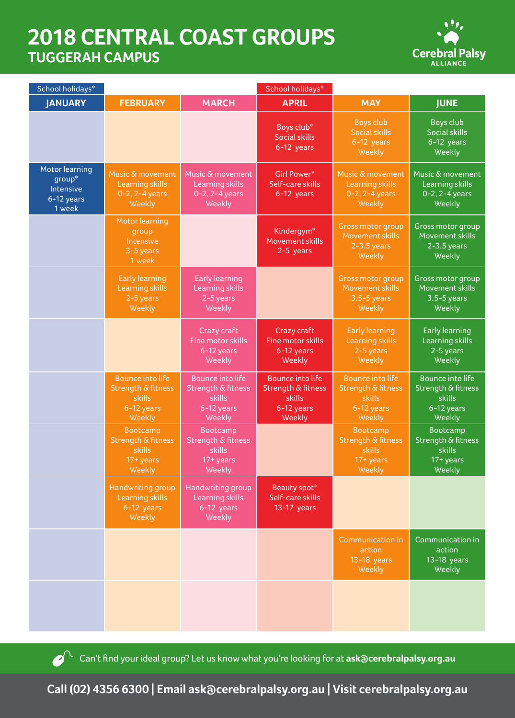## **2018 CENTRAL COAST GROUPS TUGGERAH CAMPUS**



| School holidays*                                              |                                                                                     |                                                                                 | School holidays*                                                                           |                                                                                 |                                                                                 |  |
|---------------------------------------------------------------|-------------------------------------------------------------------------------------|---------------------------------------------------------------------------------|--------------------------------------------------------------------------------------------|---------------------------------------------------------------------------------|---------------------------------------------------------------------------------|--|
| <b>JANUARY</b>                                                | <b>FEBRUARY</b>                                                                     | <b>MARCH</b>                                                                    | <b>APRIL</b>                                                                               | <b>MAY</b>                                                                      | <b>JUNE</b>                                                                     |  |
|                                                               |                                                                                     |                                                                                 | Boys club*<br><b>Social skills</b><br>6-12 years                                           | <b>Boys club</b><br><b>Social skills</b><br>6-12 years<br>Weekly                | <b>Boys club</b><br><b>Social skills</b><br>$6-12$ years<br>Weekly              |  |
| Motor learning<br>group*<br>Intensive<br>6-12 years<br>1 week | Music & movement<br><b>Learning skills</b><br>0-2, 2-4 years<br>Weekly              | Music & movement<br>Learning skills<br>0-2, 2-4 years<br>Weekly                 | <b>Girl Power*</b><br>Self-care skills<br>6-12 years                                       | Music & movement<br><b>Learning skills</b><br>0-2, 2-4 years<br>Weekly          | Music & movement<br>Learning skills<br>0-2, 2-4 years<br>Weekly                 |  |
|                                                               | <b>Motor learning</b><br>group<br>Intensive<br>3-5 years<br>1 week                  |                                                                                 | Kindergym*<br>Movement skills<br>2-5 years                                                 | <b>Gross motor group</b><br>Movement skills<br>$2-3.5$ years<br>Weekly          | Gross motor group<br>Movement skills<br>$2-3.5$ years<br>Weekly                 |  |
|                                                               | <b>Early learning</b><br><b>Learning skills</b><br>2-5 years<br>Weekly              | <b>Early learning</b><br>Learning skills<br>2-5 years<br>Weekly                 |                                                                                            | Gross motor group<br>Movement skills<br>$3.5 - 5$ years<br>Weekly               | Gross motor group<br>Movement skills<br>$3.5 - 5$ years<br>Weekly               |  |
|                                                               |                                                                                     | Crazy craft<br>Fine motor skills<br>6-12 years<br>Weekly                        | Crazy craft<br>Fine motor skills<br>6-12 years<br>Weekly                                   | <b>Early learning</b><br><b>Learning skills</b><br>2-5 years<br>Weekly          | <b>Early learning</b><br>Learning skills<br>2-5 years<br>Weekly                 |  |
|                                                               | <b>Bounce into life</b><br>Strength & fitness<br>skills<br>6-12 years<br>Weekly     | <b>Bounce into life</b><br>Strength & fitness<br>skills<br>6-12 years<br>Weekly | <b>Bounce into life</b><br><b>Strength &amp; fitness</b><br>skills<br>6-12 years<br>Weekly | <b>Bounce into life</b><br>Strength & fitness<br>skills<br>6-12 years<br>Weekly | <b>Bounce into life</b><br>Strength & fitness<br>skills<br>6-12 years<br>Weekly |  |
|                                                               | Bootcamp<br><b>Strength &amp; fitness</b><br>skills<br>$17+$ years<br><b>Weekly</b> | Bootcamp<br>Strength & fitness<br>skills<br>17+ years<br>Weekly                 |                                                                                            | Bootcamp<br>Strength & fitness<br>skills<br>$17+ years$<br>Weekly               | Bootcamp<br>Strength & fitness<br>skills<br>$\overline{17+}$ years<br>Weekly    |  |
|                                                               | Handwriting group<br><b>Learning skills</b><br>6-12 years<br>Weekly                 | Handwriting group<br>Learning skills<br>6-12 years<br>Weekly                    | Beauty spot*<br>Self-care skills<br>13-17 years                                            |                                                                                 |                                                                                 |  |
|                                                               |                                                                                     |                                                                                 |                                                                                            | Communication in<br>action<br>$13-18$ years<br>Weekly                           | Communication in<br>action<br>13-18 years<br>Weekly                             |  |
|                                                               |                                                                                     |                                                                                 |                                                                                            |                                                                                 |                                                                                 |  |

Can't find your ideal group? Let us know what you're looking for at **ask@cerebralpalsy.org.au** 

**Call (02) 4356 6300 | Email ask@cerebralpalsy.org.au | Visit cerebralpalsy.org.au**